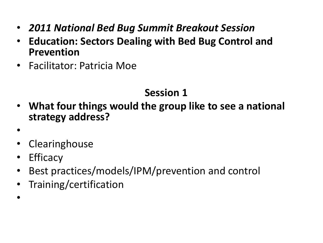- *2011 National Bed Bug Summit Breakout Session*
- **Education: Sectors Dealing with Bed Bug Control and Prevention**
- Facilitator: Patricia Moe

## **Session 1**

- **What four things would the group like to see a national strategy address?**
- •
- **Clearinghouse**
- **Efficacy**
- Best practices/models/IPM/prevention and control
- Training/certification
- •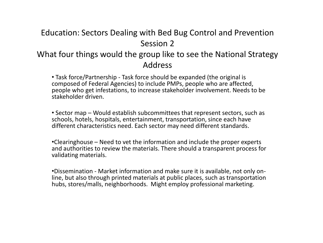#### Education: Sectors Dealing with Bed Bug Control and Prevention Session 2 What four things would the group like to see the National Strategy Address

• Task force/Partnership - Task force should be expanded (the original is composed of Federal Agencies) to include PMPs, people who are affected, people who get infestations, to increase stakeholder involvement. Needs to be stakeholder driven.

• Sector map – Would establish subcommittees that represent sectors, such as schools, hotels, hospitals, entertainment, transportation, since each have different characteristics need. Each sector may need different standards.

•Clearinghouse – Need to vet the information and include the proper experts and authorities to review the materials. There should a transparent process for validating materials.

•Dissemination - Market information and make sure it is available, not only online, but also through printed materials at public places, such as transportation hubs, stores/malls, neighborhoods. Might employ professional marketing.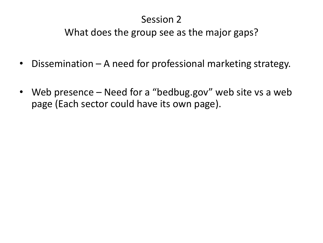#### Session 2

#### What does the group see as the major gaps?

- Dissemination A need for professional marketing strategy.
- Web presence Need for a "bedbug.gov" web site vs a web page (Each sector could have its own page).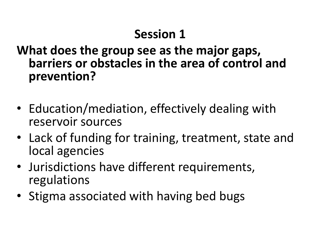# **Session 1**

**What does the group see as the major gaps, barriers or obstacles in the area of control and prevention?**

- Education/mediation, effectively dealing with reservoir sources
- Lack of funding for training, treatment, state and local agencies
- Jurisdictions have different requirements, regulations
- Stigma associated with having bed bugs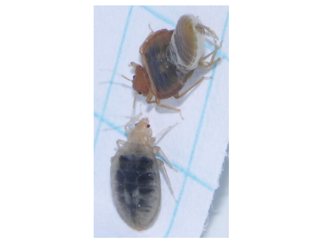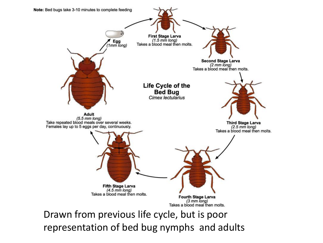